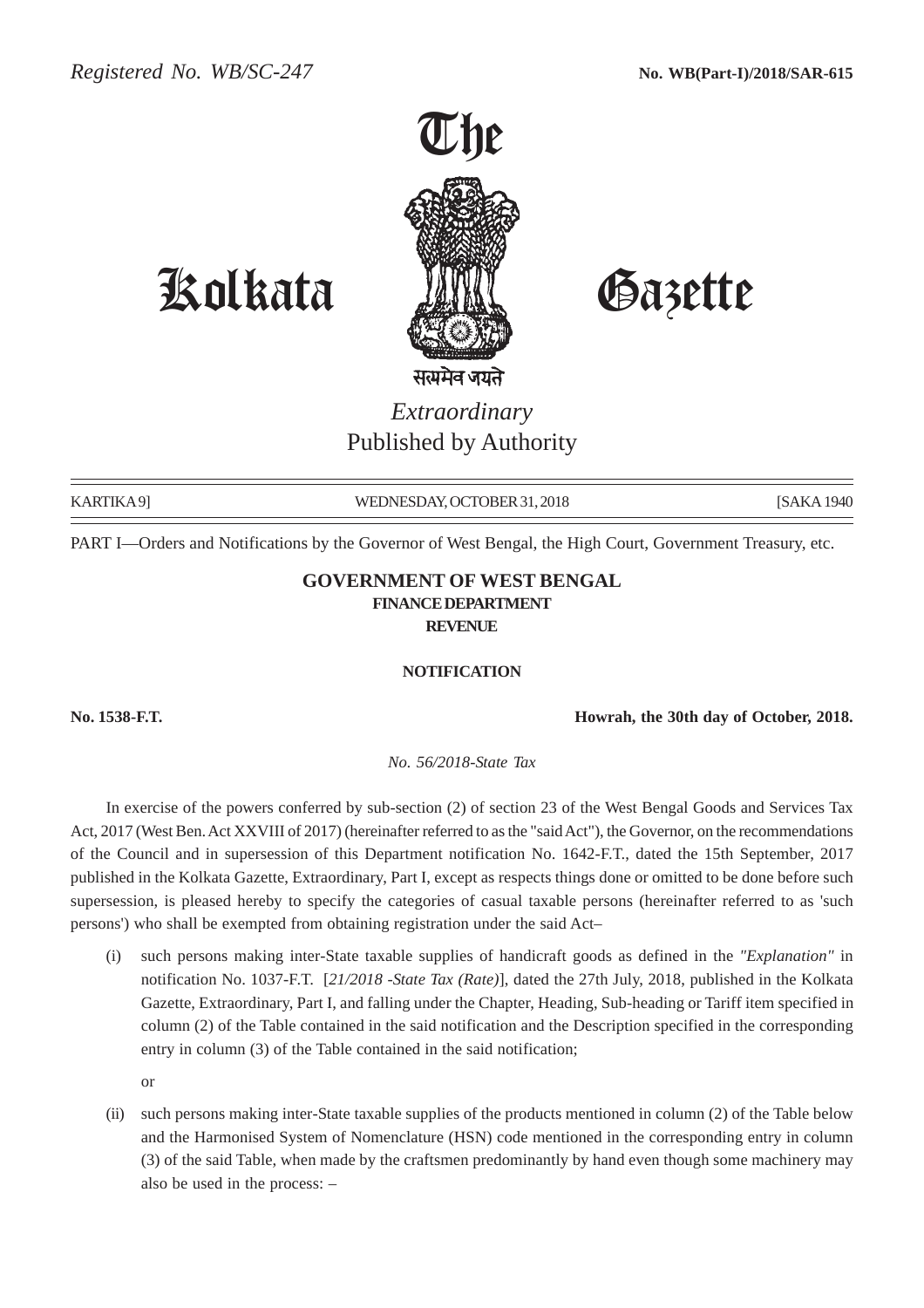

Kolkata Gazette

## *Extraordinary* Published by Authority

KARTIKA 9] WEDNESDAY, OCTOBER 31, 2018 [SAKA 1940] [SAKA 1940]

PART I—Orders and Notifications by the Governor of West Bengal, the High Court, Government Treasury, etc.

## **GOVERNMENT OF WEST BENGAL FINANCE DEPARTMENT REVENUE**

## **NOTIFICATION**

**No. 1538-F.T. Howrah, the 30th day of October, 2018.**

*No. 56/2018-State Tax*

In exercise of the powers conferred by sub-section (2) of section 23 of the West Bengal Goods and Services Tax Act, 2017 (West Ben. Act XXVIII of 2017) (hereinafter referred to as the "said Act"), the Governor, on the recommendations of the Council and in supersession of this Department notification No. 1642-F.T., dated the 15th September, 2017 published in the Kolkata Gazette, Extraordinary, Part I, except as respects things done or omitted to be done before such supersession, is pleased hereby to specify the categories of casual taxable persons (hereinafter referred to as 'such persons') who shall be exempted from obtaining registration under the said Act–

(i) such persons making inter-State taxable supplies of handicraft goods as defined in the *"Explanation"* in notification No. 1037-F.T. [*21/2018 -State Tax (Rate)*], dated the 27th July, 2018, published in the Kolkata Gazette, Extraordinary, Part I, and falling under the Chapter, Heading, Sub-heading or Tariff item specified in column (2) of the Table contained in the said notification and the Description specified in the corresponding entry in column (3) of the Table contained in the said notification;

or

(ii) such persons making inter-State taxable supplies of the products mentioned in column (2) of the Table below and the Harmonised System of Nomenclature (HSN) code mentioned in the corresponding entry in column (3) of the said Table, when made by the craftsmen predominantly by hand even though some machinery may also be used in the process: –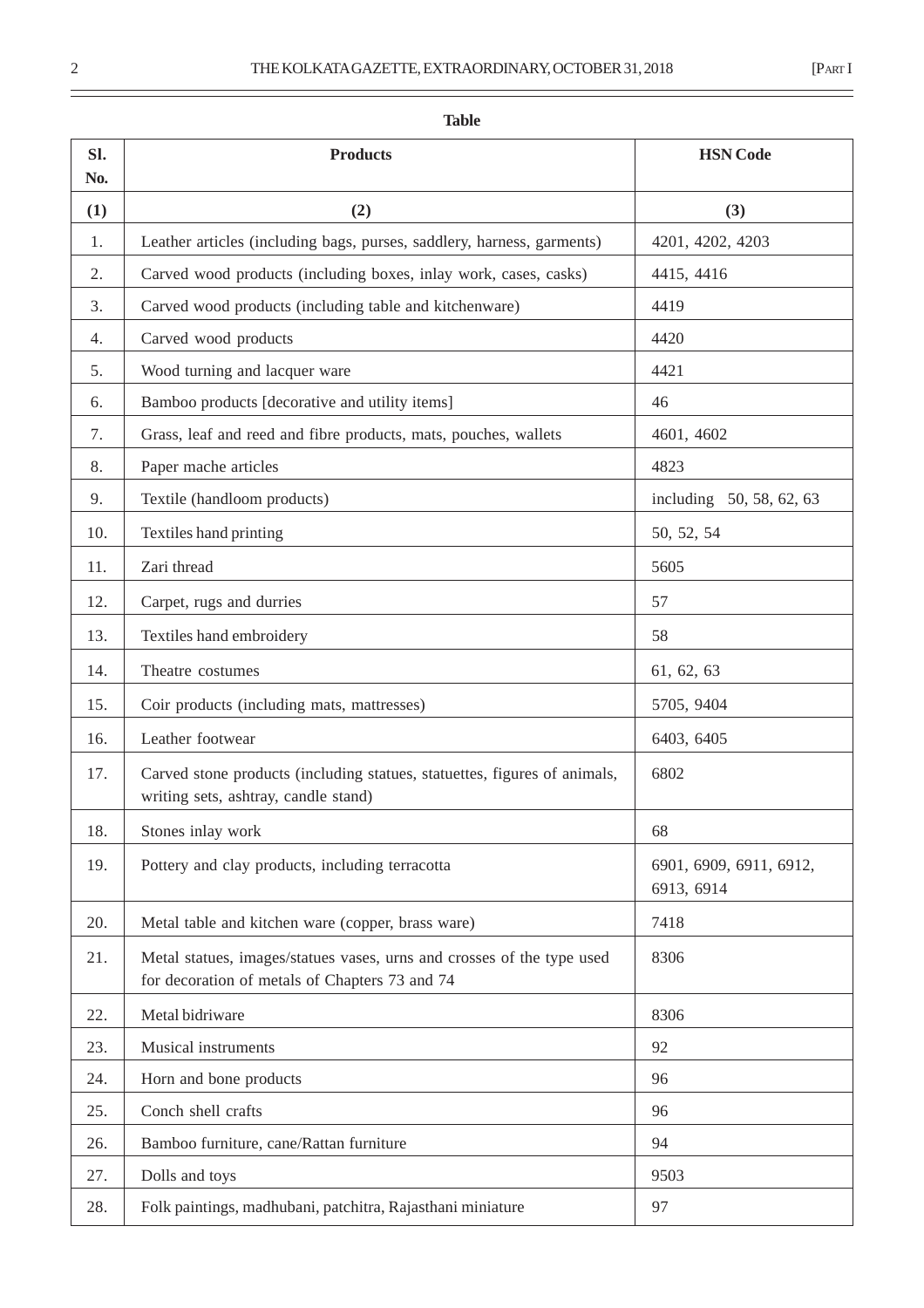| 31,2018 | [PART] |
|---------|--------|
|         |        |

| <b>Table</b> |                                                                                                                          |                                       |  |
|--------------|--------------------------------------------------------------------------------------------------------------------------|---------------------------------------|--|
| Sl.<br>No.   | <b>Products</b>                                                                                                          | <b>HSN</b> Code                       |  |
| (1)          | (2)                                                                                                                      | (3)                                   |  |
| 1.           | Leather articles (including bags, purses, saddlery, harness, garments)                                                   | 4201, 4202, 4203                      |  |
| 2.           | Carved wood products (including boxes, inlay work, cases, casks)                                                         | 4415, 4416                            |  |
| 3.           | Carved wood products (including table and kitchenware)                                                                   | 4419                                  |  |
| 4.           | Carved wood products                                                                                                     | 4420                                  |  |
| 5.           | Wood turning and lacquer ware                                                                                            | 4421                                  |  |
| 6.           | Bamboo products [decorative and utility items]                                                                           | 46                                    |  |
| 7.           | Grass, leaf and reed and fibre products, mats, pouches, wallets                                                          | 4601, 4602                            |  |
| 8.           | Paper mache articles                                                                                                     | 4823                                  |  |
| 9.           | Textile (handloom products)                                                                                              | including 50, 58, 62, 63              |  |
| 10.          | Textiles hand printing                                                                                                   | 50, 52, 54                            |  |
| 11.          | Zari thread                                                                                                              | 5605                                  |  |
| 12.          | Carpet, rugs and durries                                                                                                 | 57                                    |  |
| 13.          | Textiles hand embroidery                                                                                                 | 58                                    |  |
| 14.          | Theatre costumes                                                                                                         | 61, 62, 63                            |  |
| 15.          | Coir products (including mats, mattresses)                                                                               | 5705, 9404                            |  |
| 16.          | Leather footwear                                                                                                         | 6403, 6405                            |  |
| 17.          | Carved stone products (including statues, statuettes, figures of animals,<br>writing sets, ashtray, candle stand)        | 6802                                  |  |
| 18.          | Stones inlay work                                                                                                        | 68                                    |  |
| 19.          | Pottery and clay products, including terracotta                                                                          | 6901, 6909, 6911, 6912,<br>6913, 6914 |  |
| 20.          | Metal table and kitchen ware (copper, brass ware)                                                                        | 7418                                  |  |
| 21.          | Metal statues, images/statues vases, urns and crosses of the type used<br>for decoration of metals of Chapters 73 and 74 | 8306                                  |  |
| 22.          | Metal bidriware                                                                                                          | 8306                                  |  |
| 23.          | <b>Musical instruments</b>                                                                                               | 92                                    |  |
| 24.          | Horn and bone products                                                                                                   | 96                                    |  |
| 25.          | Conch shell crafts                                                                                                       | 96                                    |  |
| 26.          | Bamboo furniture, cane/Rattan furniture                                                                                  | 94                                    |  |
| 27.          | Dolls and toys                                                                                                           | 9503                                  |  |
| 28.          | Folk paintings, madhubani, patchitra, Rajasthani miniature                                                               | 97                                    |  |